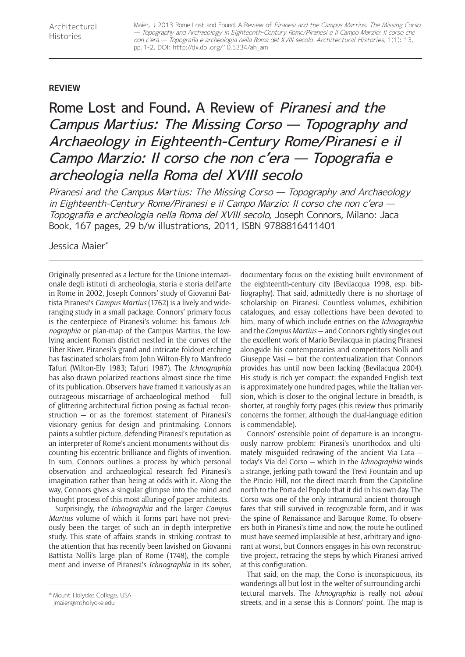## **REVIEW**

## Rome Lost and Found. A Review of Piranesi and the Campus Martius: The Missing Corso — Topography and Archaeology in Eighteenth-Century Rome/Piranesi e il Campo Marzio: Il corso che non c'era — Topografia e archeologia nella Roma del XVIII secolo

Piranesi and the Campus Martius: The Missing Corso — Topography and Archaeology in Eighteenth-Century Rome/Piranesi e il Campo Marzio: Il corso che non c'era — Topografia e archeologia nella Roma del XVIII secolo, Joseph Connors, Milano: Jaca Book, 167 pages, 29 b/w illustrations, 2011, ISBN 9788816411401

Jessica Maier\*

Originally presented as a lecture for the Unione internazionale degli istituti di archeologia, storia e storia dell'arte in Rome in 2002, Joseph Connors' study of Giovanni Battista Piranesi's *Campus Martius* (1762) is a lively and wideranging study in a small package. Connors' primary focus is the centerpiece of Piranesi's volume: his famous *Ichnographia* or plan-map of the Campus Martius, the lowlying ancient Roman district nestled in the curves of the Tiber River. Piranesi's grand and intricate foldout etching has fascinated scholars from John Wilton-Ely to Manfredo Tafuri (Wilton-Ely 1983; Tafuri 1987). The *Ichnographia* has also drawn polarized reactions almost since the time of its publication. Observers have framed it variously as an outrageous miscarriage of archaeological method — full of glittering architectural fiction posing as factual reconstruction — or as the foremost statement of Piranesi's visionary genius for design and printmaking. Connors paints a subtler picture, defending Piranesi's reputation as an interpreter of Rome's ancient monuments without discounting his eccentric brilliance and flights of invention. In sum, Connors outlines a process by which personal observation and archaeological research fed Piranesi's imagination rather than being at odds with it. Along the way, Connors gives a singular glimpse into the mind and thought process of this most alluring of paper architects.

Surprisingly, the *Ichnographia* and the larger *Campus Martius* volume of which it forms part have not previously been the target of such an in-depth interpretive study. This state of affairs stands in striking contrast to the attention that has recently been lavished on Giovanni Battista Nolli's large plan of Rome (1748), the complement and inverse of Piranesi's *Ichnographia* in its sober,

documentary focus on the existing built environment of the eighteenth-century city (Bevilacqua 1998, esp. bibliography). That said, admittedly there is no shortage of scholarship on Piranesi. Countless volumes, exhibition catalogues, and essay collections have been devoted to him, many of which include entries on the *Ichnographia* and the *Campus Martius* — and Connors rightly singles out the excellent work of Mario Bevilacqua in placing Piranesi alongside his contemporaries and competitors Nolli and Giuseppe Vasi — but the contextualization that Connors provides has until now been lacking (Bevilacqua 2004). His study is rich yet compact: the expanded English text is approximately one hundred pages, while the Italian version, which is closer to the original lecture in breadth, is shorter, at roughly forty pages (this review thus primarily concerns the former, although the dual-language edition is commendable).

Connors' ostensible point of departure is an incongruously narrow problem: Piranesi's unorthodox and ultimately misguided redrawing of the ancient Via Lata today's Via del Corso — which in the *Ichnographia* winds a strange, jerking path toward the Trevi Fountain and up the Pincio Hill, not the direct march from the Capitoline north to the Porta del Popolo that it did in his own day. The Corso was one of the only intramural ancient thoroughfares that still survived in recognizable form, and it was the spine of Renaissance and Baroque Rome. To observers both in Piranesi's time and now, the route he outlined must have seemed implausible at best, arbitrary and ignorant at worst, but Connors engages in his own reconstructive project, retracing the steps by which Piranesi arrived at this configuration.

That said, on the map, the Corso is inconspicuous, its wanderings all but lost in the welter of surrounding architectural marvels. The *Ichnographia* is really not *about* Mount Holyoke College, USA **streets, and in a sense this is Connors' point. The map is \* Mount Holyoke college, USA**<br>imaier@mtholyoke.edu **https://www.filege.org/streets, and in a sense this is Connors' point. The map is** 

jmaier@mtholyoke.edu